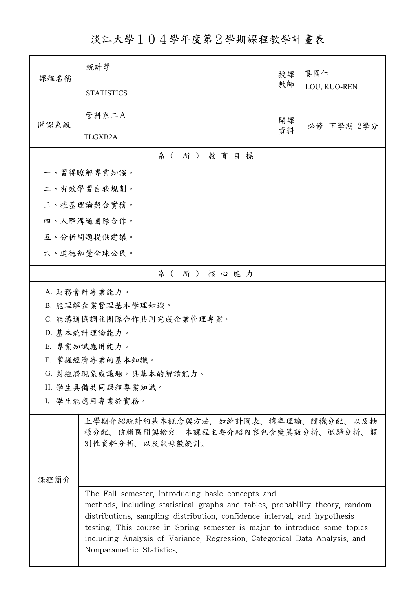淡江大學104學年度第2學期課程教學計畫表

| 課程名稱                                                                                                                                                                                                                                                                                                                                                                                                   | 統計學                             | 授課 | 婁國仁<br>LOU, KUO-REN |  |  |  |
|--------------------------------------------------------------------------------------------------------------------------------------------------------------------------------------------------------------------------------------------------------------------------------------------------------------------------------------------------------------------------------------------------------|---------------------------------|----|---------------------|--|--|--|
|                                                                                                                                                                                                                                                                                                                                                                                                        | <b>STATISTICS</b>               | 教師 |                     |  |  |  |
| 開課系級                                                                                                                                                                                                                                                                                                                                                                                                   | 管科系二A                           | 開課 | 必修 下學期 2學分          |  |  |  |
|                                                                                                                                                                                                                                                                                                                                                                                                        | <b>TLGXB2A</b>                  | 資料 |                     |  |  |  |
| 系(所)教育目標                                                                                                                                                                                                                                                                                                                                                                                               |                                 |    |                     |  |  |  |
|                                                                                                                                                                                                                                                                                                                                                                                                        | 一、習得瞭解專業知識。                     |    |                     |  |  |  |
|                                                                                                                                                                                                                                                                                                                                                                                                        | 二、有效學習自我規劃。                     |    |                     |  |  |  |
|                                                                                                                                                                                                                                                                                                                                                                                                        | 三、植基理論契合實務。                     |    |                     |  |  |  |
|                                                                                                                                                                                                                                                                                                                                                                                                        | 四、人際溝通團隊合作。                     |    |                     |  |  |  |
|                                                                                                                                                                                                                                                                                                                                                                                                        | 五、分析問題提供建議。                     |    |                     |  |  |  |
|                                                                                                                                                                                                                                                                                                                                                                                                        | 六、道德知覺全球公民。                     |    |                     |  |  |  |
|                                                                                                                                                                                                                                                                                                                                                                                                        | 系(所)核心能力                        |    |                     |  |  |  |
|                                                                                                                                                                                                                                                                                                                                                                                                        | A. 財務會計專業能力。                    |    |                     |  |  |  |
|                                                                                                                                                                                                                                                                                                                                                                                                        | B. 能理解企業管理基本學理知識。               |    |                     |  |  |  |
|                                                                                                                                                                                                                                                                                                                                                                                                        | C. 能溝通協調並團隊合作共同完成企業管理專案。        |    |                     |  |  |  |
|                                                                                                                                                                                                                                                                                                                                                                                                        | D. 基本統計理論能力。                    |    |                     |  |  |  |
|                                                                                                                                                                                                                                                                                                                                                                                                        | E. 專業知識應用能力。<br>F. 掌握經濟專業的基本知識。 |    |                     |  |  |  |
|                                                                                                                                                                                                                                                                                                                                                                                                        | G. 對經濟現象或議題,具基本的解讀能力。           |    |                     |  |  |  |
|                                                                                                                                                                                                                                                                                                                                                                                                        | H. 學生具備共同課程專業知識。                |    |                     |  |  |  |
| I. 學生能應用專業於實務。                                                                                                                                                                                                                                                                                                                                                                                         |                                 |    |                     |  |  |  |
| 上學期介紹統計的基本概念與方法,如統計圖表、機率理論、隨機分配、以及抽<br>樣分配、信賴區間與檢定,本課程主要介紹內容包含變異數分析、迴歸分析、類<br>別性資料分析、以及無母數統計。                                                                                                                                                                                                                                                                                                          |                                 |    |                     |  |  |  |
| 课程简介                                                                                                                                                                                                                                                                                                                                                                                                   |                                 |    |                     |  |  |  |
| The Fall semester, introducing basic concepts and<br>methods, including statistical graphs and tables, probability theory, random<br>distributions, sampling distribution, confidence interval, and hypothesis<br>testing. This course in Spring semester is major to introduce some topics<br>including Analysis of Variance, Regression, Categorical Data Analysis, and<br>Nonparametric Statistics. |                                 |    |                     |  |  |  |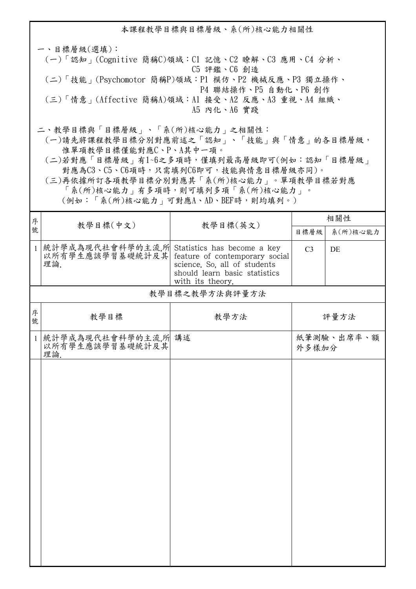本課程教學目標與目標層級、系(所)核心能力相關性 一、目標層級(選填): (一)「認知」(Cognitive 簡稱C)領域:C1 記憶、C2 瞭解、C3 應用、C4 分析、 C5 評鑑、C6 創造 (二)「技能」(Psychomotor 簡稱P)領域:P1 模仿、P2 機械反應、P3 獨立操作、 P4 聯結操作、P5 自動化、P6 創作 (三)「情意」(Affective 簡稱A)領域:A1 接受、A2 反應、A3 重視、A4 組織、 A5 內化、A6 實踐 二、教學目標與「目標層級」、「系(所)核心能力」之相關性: (一)請先將課程教學目標分別對應前述之「認知」、「技能」與「情意」的各目標層級, 惟單項教學目標僅能對應C、P、A其中一項。

 (二)若對應「目標層級」有1~6之多項時,僅填列最高層級即可(例如:認知「目標層級」 對應為C3、C5、C6項時,只需填列C6即可,技能與情意目標層級亦同)。

 (三)再依據所訂各項教學目標分別對應其「系(所)核心能力」。單項教學目標若對應 「系(所)核心能力」有多項時,則可填列多項「系(所)核心能力」。

(例如:「系(所)核心能力」可對應A、AD、BEF時,則均填列。)

| 序            |                                                                                                     | 教學目標(中文)<br>教學目標(英文)                                                                                                | 相關性            |            |
|--------------|-----------------------------------------------------------------------------------------------------|---------------------------------------------------------------------------------------------------------------------|----------------|------------|
| 號            |                                                                                                     |                                                                                                                     | 目標層級           | 系(所)核心能力   |
| $\mathbf{1}$ | 統計學成為現代社會科學的主流,所 Statistics has become a key<br>以所有學生應該學習基礎統計及其 feature of contemporary soci<br>理論. | feature of contemporary social<br>science. So, all of students<br>should learn basic statistics<br>with its theory. | C <sub>3</sub> | DE         |
|              |                                                                                                     | 教學目標之教學方法與評量方法                                                                                                      |                |            |
| 序<br>號       | 教學目標                                                                                                | 教學方法                                                                                                                |                | 評量方法       |
| $\mathbf{1}$ | 統計學成為現代社會科學的主流,所 講述<br>以所有學生應該學習基礎統計及其<br>理論.                                                       |                                                                                                                     | 外多樣加分          | 紙筆測驗、出席率、額 |
|              |                                                                                                     |                                                                                                                     |                |            |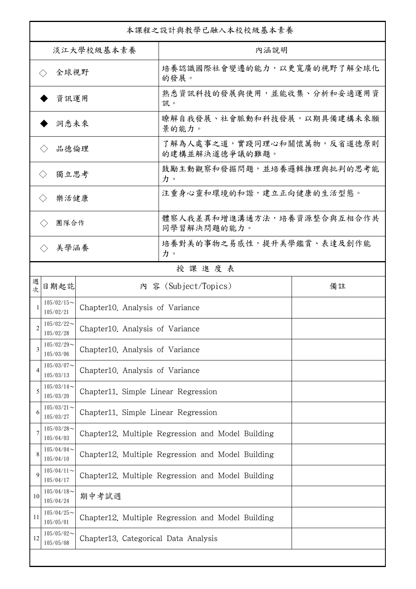| 本課程之設計與教學已融入本校校級基本素養        |                                                               |                                                   |                                                   |    |  |
|-----------------------------|---------------------------------------------------------------|---------------------------------------------------|---------------------------------------------------|----|--|
| 淡江大學校級基本素養                  |                                                               |                                                   | 內涵說明                                              |    |  |
| 全球視野<br>$\langle \ \rangle$ |                                                               |                                                   | 培養認識國際社會變遷的能力,以更寬廣的視野了解全球化<br>的發展。                |    |  |
| 資訊運用                        |                                                               |                                                   | 熟悉資訊科技的發展與使用,並能收集、分析和妥適運用資<br>訊。                  |    |  |
| 洞悉未來                        |                                                               |                                                   | 瞭解自我發展、社會脈動和科技發展,以期具備建構未來願<br>景的能力。               |    |  |
| 品德倫理                        |                                                               |                                                   | 了解為人處事之道,實踐同理心和關懷萬物,反省道德原則<br>的建構並解決道德爭議的難題。      |    |  |
| 獨立思考<br>$\langle \rangle$   |                                                               |                                                   | 鼓勵主動觀察和發掘問題,並培養邏輯推理與批判的思考能<br>力。                  |    |  |
| 樂活健康<br>$\langle \rangle$   |                                                               |                                                   | 注重身心靈和環境的和諧,建立正向健康的生活型態。                          |    |  |
| 團隊合作<br>$\langle \ \rangle$ |                                                               |                                                   | 體察人我差異和增進溝通方法,培養資源整合與互相合作共<br>同學習解決問題的能力。         |    |  |
|                             | 美學涵養<br>$\langle \rangle$                                     |                                                   | 培養對美的事物之易感性,提升美學鑑賞、表達及創作能<br>力。                   |    |  |
|                             |                                                               |                                                   | 授課進度表                                             |    |  |
| 週<br>欤                      | 日期起訖                                                          |                                                   | 內 容 (Subject/Topics)                              | 備註 |  |
|                             | $105/02/15$ ~<br>Chapter10. Analysis of Variance<br>105/02/21 |                                                   |                                                   |    |  |
| 2                           | $105/02/22$ ~<br>Chapter10. Analysis of Variance<br>105/02/28 |                                                   |                                                   |    |  |
| 3                           | $105/02/29$ ~<br>105/03/06                                    | Chapter10. Analysis of Variance                   |                                                   |    |  |
| $\overline{4}$              | $105/03/07$ ~<br>105/03/13                                    | Chapter10. Analysis of Variance                   |                                                   |    |  |
| 5                           | $105/03/14$ ~<br>105/03/20                                    | Chapter11. Simple Linear Regression               |                                                   |    |  |
| 6                           | $105/03/21$ ~<br>105/03/27                                    | Chapter11. Simple Linear Regression               |                                                   |    |  |
|                             | $105/03/28$ ~<br>105/04/03                                    | Chapter12. Multiple Regression and Model Building |                                                   |    |  |
| 8                           | $105/04/04$ ~<br>105/04/10                                    |                                                   | Chapter12. Multiple Regression and Model Building |    |  |
| 9                           | $105/04/11$ ~<br>105/04/17                                    |                                                   | Chapter12. Multiple Regression and Model Building |    |  |
| 10                          | $105/04/18$ ~<br>105/04/24                                    | 期中考試週                                             |                                                   |    |  |
| 11                          | $105/04/25$ ~<br>105/05/01                                    |                                                   | Chapter12. Multiple Regression and Model Building |    |  |
| 12                          | $105/05/02$ ~<br>105/05/08                                    | Chapter13. Categorical Data Analysis              |                                                   |    |  |
|                             |                                                               |                                                   |                                                   |    |  |